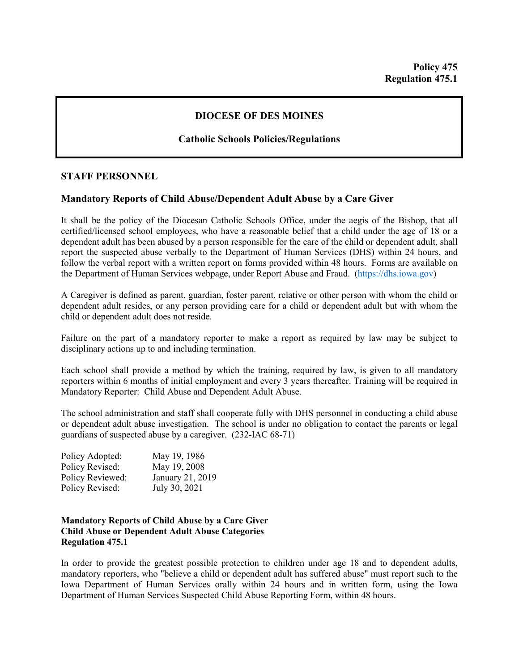# **DIOCESE OF DES MOINES**

### **Catholic Schools Policies/Regulations**

#### **STAFF PERSONNEL**

## **Mandatory Reports of Child Abuse/Dependent Adult Abuse by a Care Giver**

It shall be the policy of the Diocesan Catholic Schools Office, under the aegis of the Bishop, that all certified/licensed school employees, who have a reasonable belief that a child under the age of 18 or a dependent adult has been abused by a person responsible for the care of the child or dependent adult, shall report the suspected abuse verbally to the Department of Human Services (DHS) within 24 hours, and follow the verbal report with a written report on forms provided within 48 hours. Forms are available on the Department of Human Services webpage, under Report Abuse and Fraud. [\(https://dhs.iowa.gov\)](https://dhs.iowa.gov/)

A Caregiver is defined as parent, guardian, foster parent, relative or other person with whom the child or dependent adult resides, or any person providing care for a child or dependent adult but with whom the child or dependent adult does not reside.

Failure on the part of a mandatory reporter to make a report as required by law may be subject to disciplinary actions up to and including termination.

Each school shall provide a method by which the training, required by law, is given to all mandatory reporters within 6 months of initial employment and every 3 years thereafter. Training will be required in Mandatory Reporter: Child Abuse and Dependent Adult Abuse.

The school administration and staff shall cooperate fully with DHS personnel in conducting a child abuse or dependent adult abuse investigation. The school is under no obligation to contact the parents or legal guardians of suspected abuse by a caregiver. (232-IAC 68-71)

| Policy Adopted:  | May 19, 1986     |
|------------------|------------------|
| Policy Revised:  | May 19, 2008     |
| Policy Reviewed: | January 21, 2019 |
| Policy Revised:  | July 30, 2021    |

#### **Mandatory Reports of Child Abuse by a Care Giver Child Abuse or Dependent Adult Abuse Categories Regulation 475.1**

In order to provide the greatest possible protection to children under age 18 and to dependent adults, mandatory reporters, who "believe a child or dependent adult has suffered abuse" must report such to the Iowa Department of Human Services orally within 24 hours and in written form, using the Iowa Department of Human Services Suspected Child Abuse Reporting Form, within 48 hours.